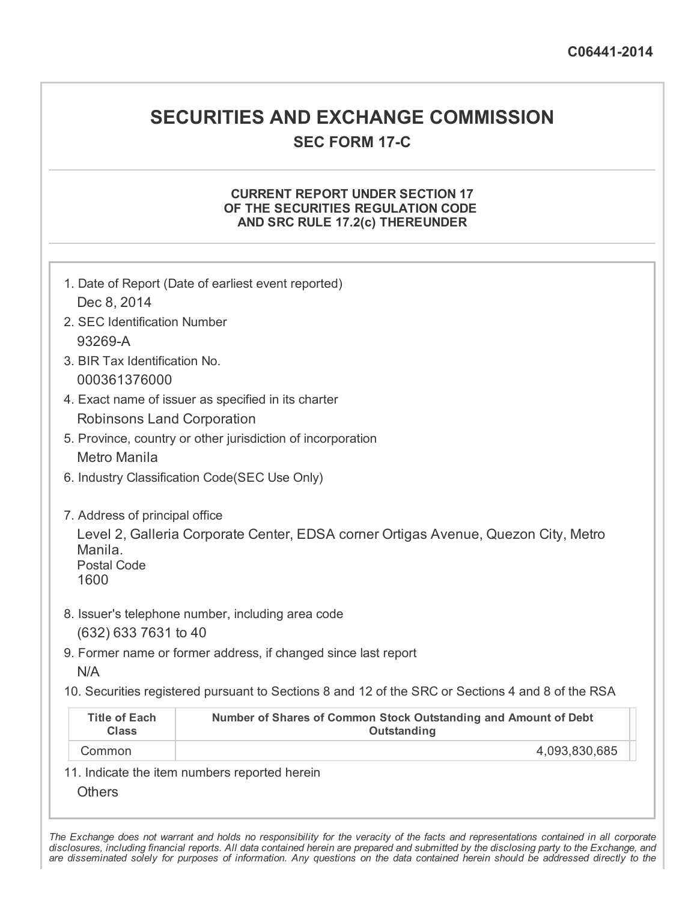## SECURITIES AND EXCHANGE COMMISSION **SEC FORM 17-C**

## CURRENT REPORT UNDER SECTION 17 OF THE SECURITIES REGULATION CODE AND SRC RULE 17.2(c) THEREUNDER

| Dec 8, 2014<br>2. SEC Identification Number<br>93269-A<br>3. BIR Tax Identification No.<br>000361376000<br>Robinsons Land Corporation<br>Metro Manila | 1. Date of Report (Date of earliest event reported)<br>4. Exact name of issuer as specified in its charter<br>5. Province, country or other jurisdiction of incorporation<br>6. Industry Classification Code(SEC Use Only) |
|-------------------------------------------------------------------------------------------------------------------------------------------------------|----------------------------------------------------------------------------------------------------------------------------------------------------------------------------------------------------------------------------|
| 7. Address of principal office<br>Manila.<br><b>Postal Code</b><br>1600                                                                               | Level 2, Galleria Corporate Center, EDSA corner Ortigas Avenue, Quezon City, Metro                                                                                                                                         |
| (632) 633 7631 to 40<br>N/A                                                                                                                           | 8. Issuer's telephone number, including area code<br>9. Former name or former address, if changed since last report<br>10. Securities registered pursuant to Sections 8 and 12 of the SRC or Sections 4 and 8 of the RSA   |
| <b>Title of Each</b><br><b>Class</b>                                                                                                                  | Number of Shares of Common Stock Outstanding and Amount of Debt<br><b>Outstanding</b>                                                                                                                                      |
| Common                                                                                                                                                | 4,093,830,685                                                                                                                                                                                                              |
| <b>Others</b>                                                                                                                                         | 11. Indicate the item numbers reported herein                                                                                                                                                                              |

The Exchange does not warrant and holds no responsibility for the veracity of the facts and representations contained in all corporate disclosures, including financial reports. All data contained herein are prepared and submitted by the disclosing party to the Exchange, and are disseminated solely for purposes of information. Any questions on the data contained herein should be addressed directly to the